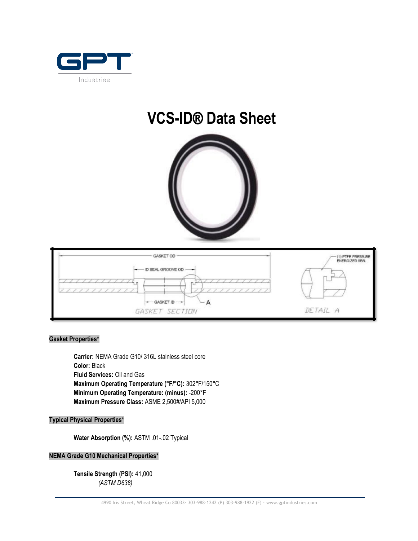

# **VCS-ID**® **Data Sheet**





## **Gasket Properties\***

**Carrier:** NEMA Grade G10/ 316L stainless steel core **Color:** Black **Fluid Services:** Oil and Gas **Maximum Operating Temperature (°F/°C):** 302**°**F/150**°**C **Minimum Operating Temperature: (minus):** -200°F **Maximum Pressure Class:** ASME 2,500#/API 5,000

#### **Typical Physical Properties\***

**Water Absorption (%):** ASTM .01-.02 Typical

## **NEMA Grade G10 Mechanical Properties\***

**Tensile Strength (PSI):** 41,000 *(ASTM D638)*